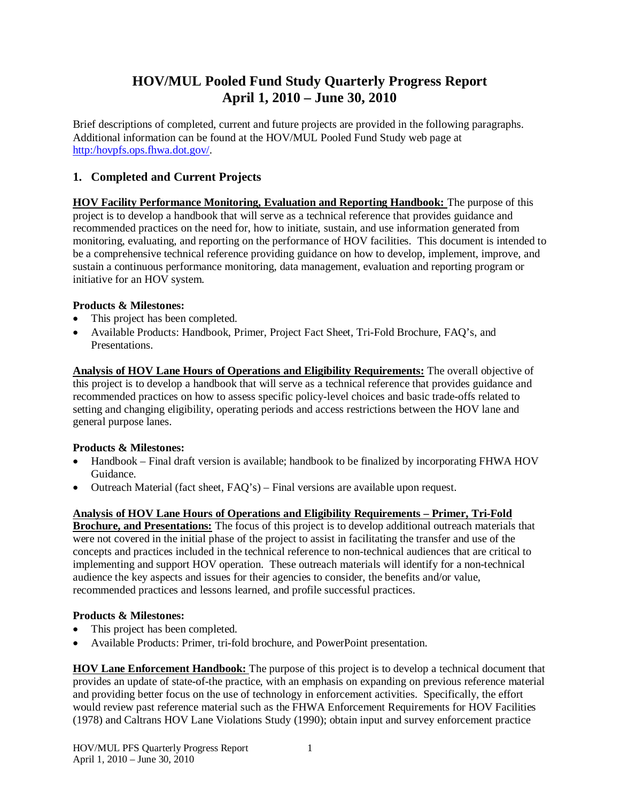# **HOV/MUL Pooled Fund Study Quarterly Progress Report April 1, 2010 – June 30, 2010**

Brief descriptions of completed, current and future projects are provided in the following paragraphs. Additional information can be found at the HOV/MUL Pooled Fund Study web page at http:/hovpfs.ops.fhwa.dot.gov/.

# **1. Completed and Current Projects**

**HOV Facility Performance Monitoring, Evaluation and Reporting Handbook:** The purpose of this project is to develop a handbook that will serve as a technical reference that provides guidance and recommended practices on the need for, how to initiate, sustain, and use information generated from monitoring, evaluating, and reporting on the performance of HOV facilities. This document is intended to be a comprehensive technical reference providing guidance on how to develop, implement, improve, and sustain a continuous performance monitoring, data management, evaluation and reporting program or initiative for an HOV system.

## **Products & Milestones:**

- This project has been completed.
- x Available Products: Handbook, Primer, Project Fact Sheet, Tri-Fold Brochure, FAQ's, and Presentations.

**Analysis of HOV Lane Hours of Operations and Eligibility Requirements:** The overall objective of this project is to develop a handbook that will serve as a technical reference that provides guidance and recommended practices on how to assess specific policy-level choices and basic trade-offs related to setting and changing eligibility, operating periods and access restrictions between the HOV lane and general purpose lanes.

# **Products & Milestones:**

- Handbook Final draft version is available; handbook to be finalized by incorporating FHWA HOV Guidance.
- Outreach Material (fact sheet,  $FAQ's$ ) Final versions are available upon request.

# **Analysis of HOV Lane Hours of Operations and Eligibility Requirements – Primer, Tri-Fold**

**Brochure, and Presentations:** The focus of this project is to develop additional outreach materials that were not covered in the initial phase of the project to assist in facilitating the transfer and use of the concepts and practices included in the technical reference to non-technical audiences that are critical to implementing and support HOV operation. These outreach materials will identify for a non-technical audience the key aspects and issues for their agencies to consider, the benefits and/or value, recommended practices and lessons learned, and profile successful practices.

## **Products & Milestones:**

- This project has been completed.
- x Available Products: Primer, tri-fold brochure, and PowerPoint presentation.

**HOV Lane Enforcement Handbook:** The purpose of this project is to develop a technical document that provides an update of state-of-the practice, with an emphasis on expanding on previous reference material and providing better focus on the use of technology in enforcement activities. Specifically, the effort would review past reference material such as the FHWA Enforcement Requirements for HOV Facilities (1978) and Caltrans HOV Lane Violations Study (1990); obtain input and survey enforcement practice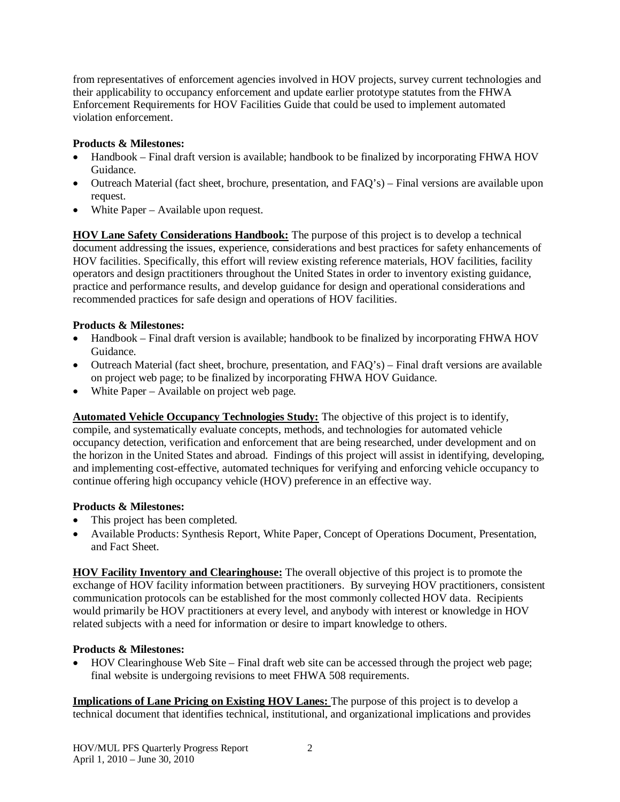from representatives of enforcement agencies involved in HOV projects, survey current technologies and their applicability to occupancy enforcement and update earlier prototype statutes from the FHWA Enforcement Requirements for HOV Facilities Guide that could be used to implement automated violation enforcement.

# **Products & Milestones:**

- Handbook Final draft version is available; handbook to be finalized by incorporating FHWA HOV Guidance.
- Outreach Material (fact sheet, brochure, presentation, and FAQ's) Final versions are available upon request.
- $\bullet$  White Paper Available upon request.

**HOV Lane Safety Considerations Handbook:** The purpose of this project is to develop a technical document addressing the issues, experience, considerations and best practices for safety enhancements of HOV facilities. Specifically, this effort will review existing reference materials, HOV facilities, facility operators and design practitioners throughout the United States in order to inventory existing guidance, practice and performance results, and develop guidance for design and operational considerations and recommended practices for safe design and operations of HOV facilities.

# **Products & Milestones:**

- Handbook Final draft version is available; handbook to be finalized by incorporating FHWA HOV Guidance.
- Outreach Material (fact sheet, brochure, presentation, and FAQ's) Final draft versions are available on project web page; to be finalized by incorporating FHWA HOV Guidance.
- $\bullet$  White Paper Available on project web page.

**Automated Vehicle Occupancy Technologies Study:** The objective of this project is to identify, compile, and systematically evaluate concepts, methods, and technologies for automated vehicle occupancy detection, verification and enforcement that are being researched, under development and on the horizon in the United States and abroad. Findings of this project will assist in identifying, developing, and implementing cost-effective, automated techniques for verifying and enforcing vehicle occupancy to continue offering high occupancy vehicle (HOV) preference in an effective way.

## **Products & Milestones:**

- This project has been completed.
- x Available Products: Synthesis Report, White Paper, Concept of Operations Document, Presentation, and Fact Sheet.

**HOV Facility Inventory and Clearinghouse:** The overall objective of this project is to promote the exchange of HOV facility information between practitioners. By surveying HOV practitioners, consistent communication protocols can be established for the most commonly collected HOV data. Recipients would primarily be HOV practitioners at every level, and anybody with interest or knowledge in HOV related subjects with a need for information or desire to impart knowledge to others.

## **Products & Milestones:**

x HOV Clearinghouse Web Site – Final draft web site can be accessed through the project web page; final website is undergoing revisions to meet FHWA 508 requirements.

**Implications of Lane Pricing on Existing HOV Lanes:** The purpose of this project is to develop a technical document that identifies technical, institutional, and organizational implications and provides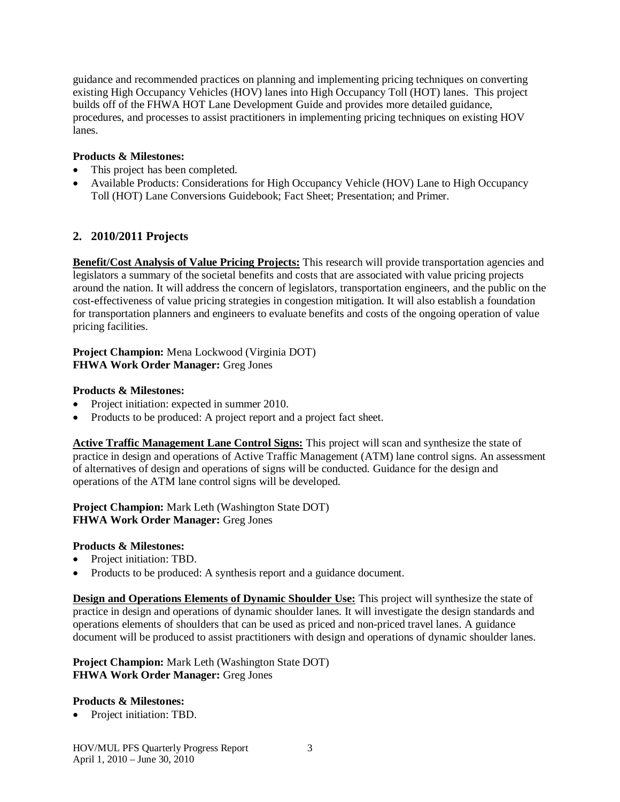guidance and recommended practices on planning and implementing pricing techniques on converting existing High Occupancy Vehicles (HOV) lanes into High Occupancy Toll (HOT) lanes. This project builds off of the FHWA HOT Lane Development Guide and provides more detailed guidance, procedures, and processes to assist practitioners in implementing pricing techniques on existing HOV lanes.

### **Products & Milestones:**

- This project has been completed.
- Available Products: Considerations for High Occupancy Vehicle (HOV) Lane to High Occupancy Toll (HOT) Lane Conversions Guidebook; Fact Sheet; Presentation; and Primer.

# **2. 2010/2011 Projects**

**Benefit/Cost Analysis of Value Pricing Projects:** This research will provide transportation agencies and legislators a summary of the societal benefits and costs that are associated with value pricing projects around the nation. It will address the concern of legislators, transportation engineers, and the public on the cost-effectiveness of value pricing strategies in congestion mitigation. It will also establish a foundation for transportation planners and engineers to evaluate benefits and costs of the ongoing operation of value pricing facilities.

#### **Project Champion:** Mena Lockwood (Virginia DOT) **FHWA Work Order Manager:** Greg Jones

#### **Products & Milestones:**

- Project initiation: expected in summer 2010.
- Products to be produced: A project report and a project fact sheet.

**Active Traffic Management Lane Control Signs:** This project will scan and synthesize the state of practice in design and operations of Active Traffic Management (ATM) lane control signs. An assessment of alternatives of design and operations of signs will be conducted. Guidance for the design and operations of the ATM lane control signs will be developed.

**Project Champion:** Mark Leth (Washington State DOT) **FHWA Work Order Manager:** Greg Jones

#### **Products & Milestones:**

- Project initiation: TBD.
- Products to be produced: A synthesis report and a guidance document.

**Design and Operations Elements of Dynamic Shoulder Use:** This project will synthesize the state of practice in design and operations of dynamic shoulder lanes. It will investigate the design standards and operations elements of shoulders that can be used as priced and non-priced travel lanes. A guidance document will be produced to assist practitioners with design and operations of dynamic shoulder lanes.

#### **Project Champion:** Mark Leth (Washington State DOT) **FHWA Work Order Manager:** Greg Jones

#### **Products & Milestones:**

• Project initiation: TBD.